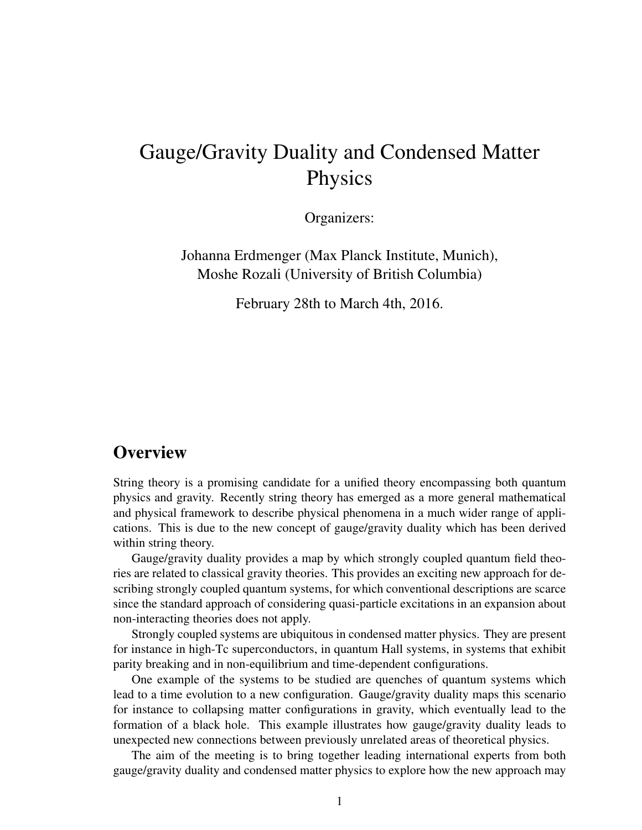# Gauge/Gravity Duality and Condensed Matter Physics

Organizers:

Johanna Erdmenger (Max Planck Institute, Munich), Moshe Rozali (University of British Columbia)

February 28th to March 4th, 2016.

### **Overview**

String theory is a promising candidate for a unified theory encompassing both quantum physics and gravity. Recently string theory has emerged as a more general mathematical and physical framework to describe physical phenomena in a much wider range of applications. This is due to the new concept of gauge/gravity duality which has been derived within string theory.

Gauge/gravity duality provides a map by which strongly coupled quantum field theories are related to classical gravity theories. This provides an exciting new approach for describing strongly coupled quantum systems, for which conventional descriptions are scarce since the standard approach of considering quasi-particle excitations in an expansion about non-interacting theories does not apply.

Strongly coupled systems are ubiquitous in condensed matter physics. They are present for instance in high-Tc superconductors, in quantum Hall systems, in systems that exhibit parity breaking and in non-equilibrium and time-dependent configurations.

One example of the systems to be studied are quenches of quantum systems which lead to a time evolution to a new configuration. Gauge/gravity duality maps this scenario for instance to collapsing matter configurations in gravity, which eventually lead to the formation of a black hole. This example illustrates how gauge/gravity duality leads to unexpected new connections between previously unrelated areas of theoretical physics.

The aim of the meeting is to bring together leading international experts from both gauge/gravity duality and condensed matter physics to explore how the new approach may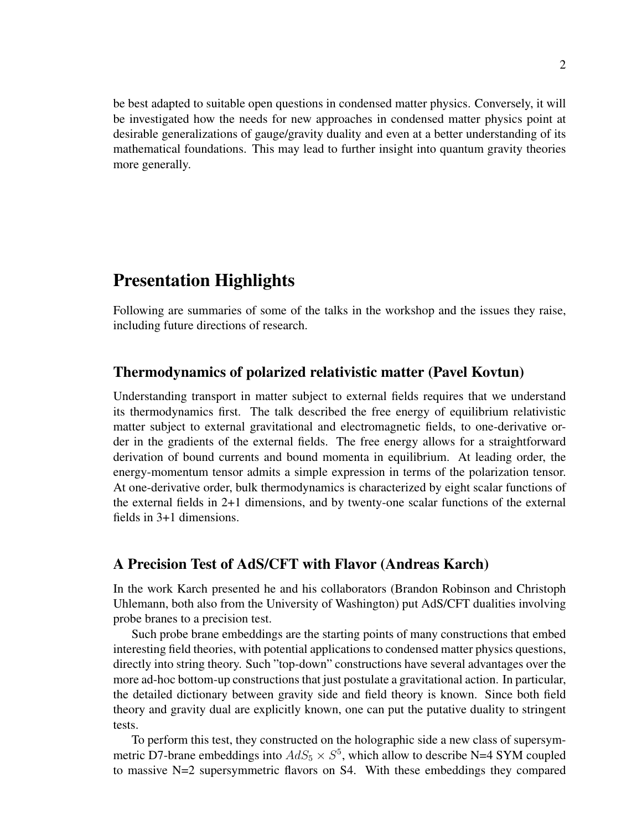be best adapted to suitable open questions in condensed matter physics. Conversely, it will be investigated how the needs for new approaches in condensed matter physics point at desirable generalizations of gauge/gravity duality and even at a better understanding of its mathematical foundations. This may lead to further insight into quantum gravity theories more generally.

### Presentation Highlights

Following are summaries of some of the talks in the workshop and the issues they raise, including future directions of research.

#### Thermodynamics of polarized relativistic matter (Pavel Kovtun)

Understanding transport in matter subject to external fields requires that we understand its thermodynamics first. The talk described the free energy of equilibrium relativistic matter subject to external gravitational and electromagnetic fields, to one-derivative order in the gradients of the external fields. The free energy allows for a straightforward derivation of bound currents and bound momenta in equilibrium. At leading order, the energy-momentum tensor admits a simple expression in terms of the polarization tensor. At one-derivative order, bulk thermodynamics is characterized by eight scalar functions of the external fields in 2+1 dimensions, and by twenty-one scalar functions of the external fields in 3+1 dimensions.

#### A Precision Test of AdS/CFT with Flavor (Andreas Karch)

In the work Karch presented he and his collaborators (Brandon Robinson and Christoph Uhlemann, both also from the University of Washington) put AdS/CFT dualities involving probe branes to a precision test.

Such probe brane embeddings are the starting points of many constructions that embed interesting field theories, with potential applications to condensed matter physics questions, directly into string theory. Such "top-down" constructions have several advantages over the more ad-hoc bottom-up constructions that just postulate a gravitational action. In particular, the detailed dictionary between gravity side and field theory is known. Since both field theory and gravity dual are explicitly known, one can put the putative duality to stringent tests.

To perform this test, they constructed on the holographic side a new class of supersymmetric D7-brane embeddings into  $AdS_5 \times S^5$ , which allow to describe N=4 SYM coupled to massive N=2 supersymmetric flavors on S4. With these embeddings they compared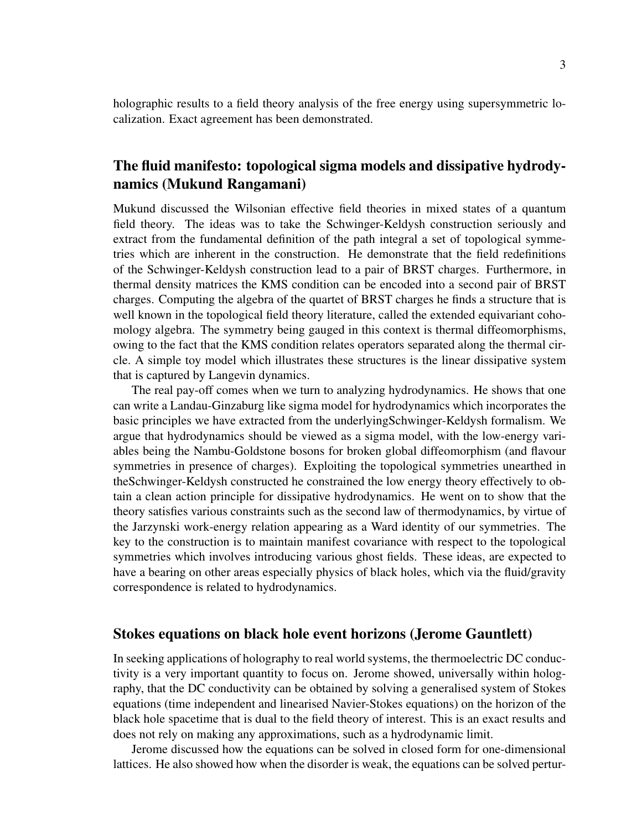holographic results to a field theory analysis of the free energy using supersymmetric localization. Exact agreement has been demonstrated.

### The fluid manifesto: topological sigma models and dissipative hydrodynamics (Mukund Rangamani)

Mukund discussed the Wilsonian effective field theories in mixed states of a quantum field theory. The ideas was to take the Schwinger-Keldysh construction seriously and extract from the fundamental definition of the path integral a set of topological symmetries which are inherent in the construction. He demonstrate that the field redefinitions of the Schwinger-Keldysh construction lead to a pair of BRST charges. Furthermore, in thermal density matrices the KMS condition can be encoded into a second pair of BRST charges. Computing the algebra of the quartet of BRST charges he finds a structure that is well known in the topological field theory literature, called the extended equivariant cohomology algebra. The symmetry being gauged in this context is thermal diffeomorphisms, owing to the fact that the KMS condition relates operators separated along the thermal circle. A simple toy model which illustrates these structures is the linear dissipative system that is captured by Langevin dynamics.

The real pay-off comes when we turn to analyzing hydrodynamics. He shows that one can write a Landau-Ginzaburg like sigma model for hydrodynamics which incorporates the basic principles we have extracted from the underlyingSchwinger-Keldysh formalism. We argue that hydrodynamics should be viewed as a sigma model, with the low-energy variables being the Nambu-Goldstone bosons for broken global diffeomorphism (and flavour symmetries in presence of charges). Exploiting the topological symmetries unearthed in theSchwinger-Keldysh constructed he constrained the low energy theory effectively to obtain a clean action principle for dissipative hydrodynamics. He went on to show that the theory satisfies various constraints such as the second law of thermodynamics, by virtue of the Jarzynski work-energy relation appearing as a Ward identity of our symmetries. The key to the construction is to maintain manifest covariance with respect to the topological symmetries which involves introducing various ghost fields. These ideas, are expected to have a bearing on other areas especially physics of black holes, which via the fluid/gravity correspondence is related to hydrodynamics.

#### Stokes equations on black hole event horizons (Jerome Gauntlett)

In seeking applications of holography to real world systems, the thermoelectric DC conductivity is a very important quantity to focus on. Jerome showed, universally within holography, that the DC conductivity can be obtained by solving a generalised system of Stokes equations (time independent and linearised Navier-Stokes equations) on the horizon of the black hole spacetime that is dual to the field theory of interest. This is an exact results and does not rely on making any approximations, such as a hydrodynamic limit.

Jerome discussed how the equations can be solved in closed form for one-dimensional lattices. He also showed how when the disorder is weak, the equations can be solved pertur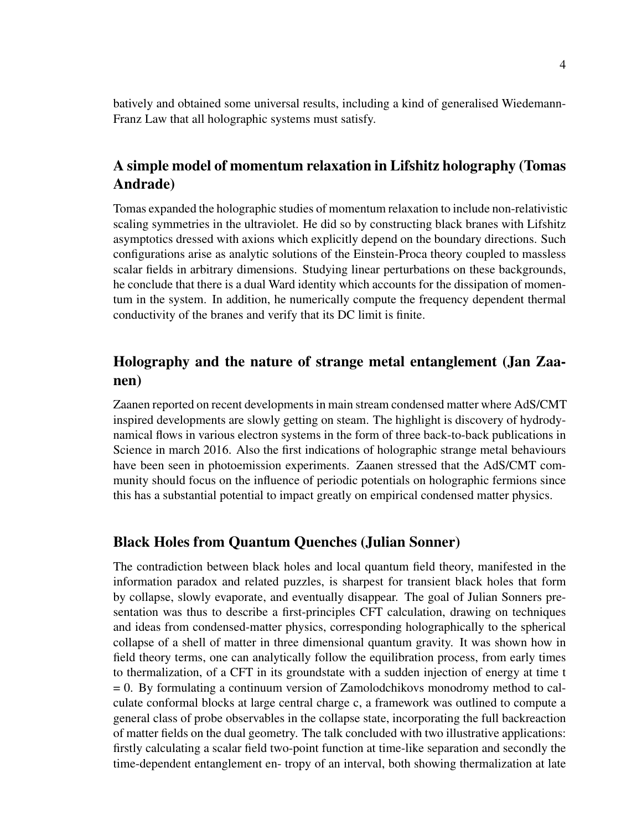batively and obtained some universal results, including a kind of generalised Wiedemann-Franz Law that all holographic systems must satisfy.

### A simple model of momentum relaxation in Lifshitz holography (Tomas Andrade)

Tomas expanded the holographic studies of momentum relaxation to include non-relativistic scaling symmetries in the ultraviolet. He did so by constructing black branes with Lifshitz asymptotics dressed with axions which explicitly depend on the boundary directions. Such configurations arise as analytic solutions of the Einstein-Proca theory coupled to massless scalar fields in arbitrary dimensions. Studying linear perturbations on these backgrounds, he conclude that there is a dual Ward identity which accounts for the dissipation of momentum in the system. In addition, he numerically compute the frequency dependent thermal conductivity of the branes and verify that its DC limit is finite.

### Holography and the nature of strange metal entanglement (Jan Zaanen)

Zaanen reported on recent developments in main stream condensed matter where AdS/CMT inspired developments are slowly getting on steam. The highlight is discovery of hydrodynamical flows in various electron systems in the form of three back-to-back publications in Science in march 2016. Also the first indications of holographic strange metal behaviours have been seen in photoemission experiments. Zaanen stressed that the AdS/CMT community should focus on the influence of periodic potentials on holographic fermions since this has a substantial potential to impact greatly on empirical condensed matter physics.

#### Black Holes from Quantum Quenches (Julian Sonner)

The contradiction between black holes and local quantum field theory, manifested in the information paradox and related puzzles, is sharpest for transient black holes that form by collapse, slowly evaporate, and eventually disappear. The goal of Julian Sonners presentation was thus to describe a first-principles CFT calculation, drawing on techniques and ideas from condensed-matter physics, corresponding holographically to the spherical collapse of a shell of matter in three dimensional quantum gravity. It was shown how in field theory terms, one can analytically follow the equilibration process, from early times to thermalization, of a CFT in its groundstate with a sudden injection of energy at time t = 0. By formulating a continuum version of Zamolodchikovs monodromy method to calculate conformal blocks at large central charge c, a framework was outlined to compute a general class of probe observables in the collapse state, incorporating the full backreaction of matter fields on the dual geometry. The talk concluded with two illustrative applications: firstly calculating a scalar field two-point function at time-like separation and secondly the time-dependent entanglement en- tropy of an interval, both showing thermalization at late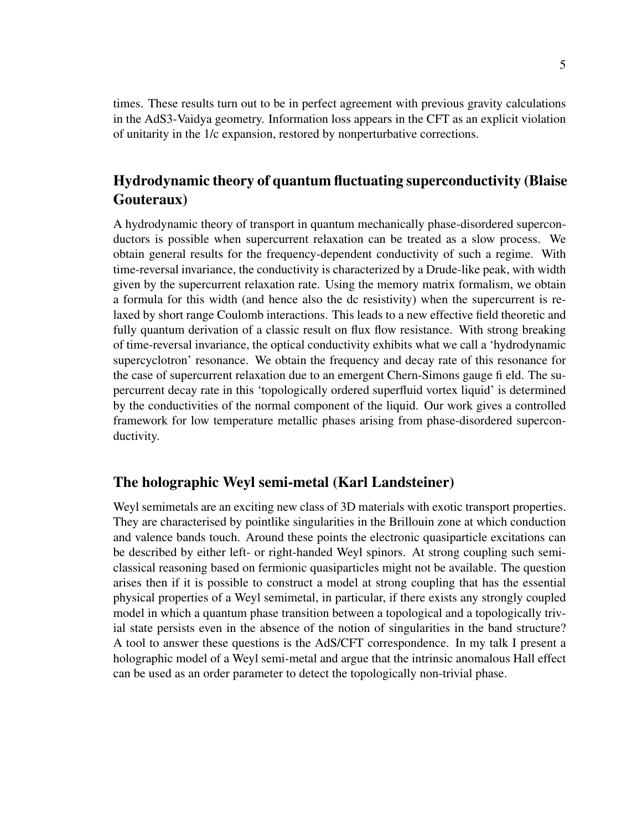times. These results turn out to be in perfect agreement with previous gravity calculations in the AdS3-Vaidya geometry. Information loss appears in the CFT as an explicit violation of unitarity in the 1/c expansion, restored by nonperturbative corrections.

### Hydrodynamic theory of quantum fluctuating superconductivity (Blaise Gouteraux)

A hydrodynamic theory of transport in quantum mechanically phase-disordered superconductors is possible when supercurrent relaxation can be treated as a slow process. We obtain general results for the frequency-dependent conductivity of such a regime. With time-reversal invariance, the conductivity is characterized by a Drude-like peak, with width given by the supercurrent relaxation rate. Using the memory matrix formalism, we obtain a formula for this width (and hence also the dc resistivity) when the supercurrent is relaxed by short range Coulomb interactions. This leads to a new effective field theoretic and fully quantum derivation of a classic result on flux flow resistance. With strong breaking of time-reversal invariance, the optical conductivity exhibits what we call a 'hydrodynamic supercyclotron' resonance. We obtain the frequency and decay rate of this resonance for the case of supercurrent relaxation due to an emergent Chern-Simons gauge fi eld. The supercurrent decay rate in this 'topologically ordered superfluid vortex liquid' is determined by the conductivities of the normal component of the liquid. Our work gives a controlled framework for low temperature metallic phases arising from phase-disordered superconductivity.

#### The holographic Weyl semi-metal (Karl Landsteiner)

Weyl semimetals are an exciting new class of 3D materials with exotic transport properties. They are characterised by pointlike singularities in the Brillouin zone at which conduction and valence bands touch. Around these points the electronic quasiparticle excitations can be described by either left- or right-handed Weyl spinors. At strong coupling such semiclassical reasoning based on fermionic quasiparticles might not be available. The question arises then if it is possible to construct a model at strong coupling that has the essential physical properties of a Weyl semimetal, in particular, if there exists any strongly coupled model in which a quantum phase transition between a topological and a topologically trivial state persists even in the absence of the notion of singularities in the band structure? A tool to answer these questions is the AdS/CFT correspondence. In my talk I present a holographic model of a Weyl semi-metal and argue that the intrinsic anomalous Hall effect can be used as an order parameter to detect the topologically non-trivial phase.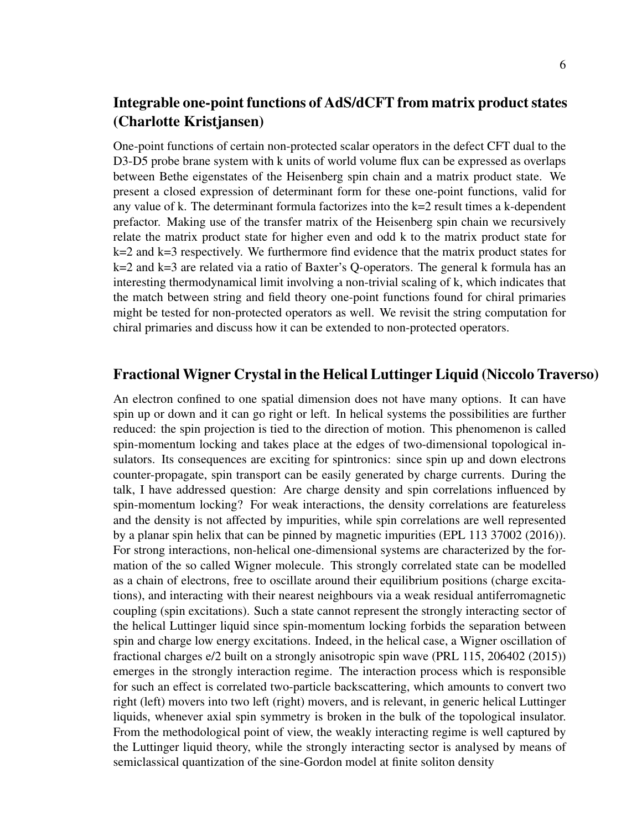### Integrable one-point functions of AdS/dCFT from matrix product states (Charlotte Kristjansen)

One-point functions of certain non-protected scalar operators in the defect CFT dual to the D3-D5 probe brane system with k units of world volume flux can be expressed as overlaps between Bethe eigenstates of the Heisenberg spin chain and a matrix product state. We present a closed expression of determinant form for these one-point functions, valid for any value of k. The determinant formula factorizes into the k=2 result times a k-dependent prefactor. Making use of the transfer matrix of the Heisenberg spin chain we recursively relate the matrix product state for higher even and odd k to the matrix product state for  $k=2$  and  $k=3$  respectively. We furthermore find evidence that the matrix product states for k=2 and k=3 are related via a ratio of Baxter's Q-operators. The general k formula has an interesting thermodynamical limit involving a non-trivial scaling of k, which indicates that the match between string and field theory one-point functions found for chiral primaries might be tested for non-protected operators as well. We revisit the string computation for chiral primaries and discuss how it can be extended to non-protected operators.

#### Fractional Wigner Crystal in the Helical Luttinger Liquid (Niccolo Traverso)

An electron confined to one spatial dimension does not have many options. It can have spin up or down and it can go right or left. In helical systems the possibilities are further reduced: the spin projection is tied to the direction of motion. This phenomenon is called spin-momentum locking and takes place at the edges of two-dimensional topological insulators. Its consequences are exciting for spintronics: since spin up and down electrons counter-propagate, spin transport can be easily generated by charge currents. During the talk, I have addressed question: Are charge density and spin correlations influenced by spin-momentum locking? For weak interactions, the density correlations are featureless and the density is not affected by impurities, while spin correlations are well represented by a planar spin helix that can be pinned by magnetic impurities (EPL 113 37002 (2016)). For strong interactions, non-helical one-dimensional systems are characterized by the formation of the so called Wigner molecule. This strongly correlated state can be modelled as a chain of electrons, free to oscillate around their equilibrium positions (charge excitations), and interacting with their nearest neighbours via a weak residual antiferromagnetic coupling (spin excitations). Such a state cannot represent the strongly interacting sector of the helical Luttinger liquid since spin-momentum locking forbids the separation between spin and charge low energy excitations. Indeed, in the helical case, a Wigner oscillation of fractional charges e/2 built on a strongly anisotropic spin wave (PRL 115, 206402 (2015)) emerges in the strongly interaction regime. The interaction process which is responsible for such an effect is correlated two-particle backscattering, which amounts to convert two right (left) movers into two left (right) movers, and is relevant, in generic helical Luttinger liquids, whenever axial spin symmetry is broken in the bulk of the topological insulator. From the methodological point of view, the weakly interacting regime is well captured by the Luttinger liquid theory, while the strongly interacting sector is analysed by means of semiclassical quantization of the sine-Gordon model at finite soliton density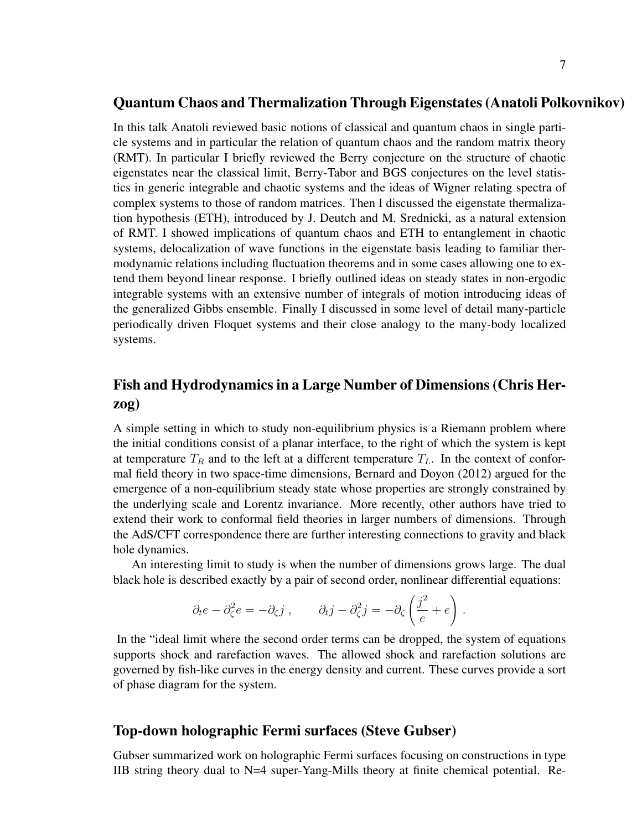#### Quantum Chaos and Thermalization Through Eigenstates (Anatoli Polkovnikov)

In this talk Anatoli reviewed basic notions of classical and quantum chaos in single particle systems and in particular the relation of quantum chaos and the random matrix theory (RMT). In particular I briefly reviewed the Berry conjecture on the structure of chaotic eigenstates near the classical limit, Berry-Tabor and BGS conjectures on the level statistics in generic integrable and chaotic systems and the ideas of Wigner relating spectra of complex systems to those of random matrices. Then I discussed the eigenstate thermalization hypothesis (ETH), introduced by J. Deutch and M. Srednicki, as a natural extension of RMT. I showed implications of quantum chaos and ETH to entanglement in chaotic systems, delocalization of wave functions in the eigenstate basis leading to familiar thermodynamic relations including fluctuation theorems and in some cases allowing one to extend them beyond linear response. I briefly outlined ideas on steady states in non-ergodic integrable systems with an extensive number of integrals of motion introducing ideas of the generalized Gibbs ensemble. Finally I discussed in some level of detail many-particle periodically driven Floquet systems and their close analogy to the many-body localized systems.

### Fish and Hydrodynamics in a Large Number of Dimensions (Chris Herzog)

A simple setting in which to study non-equilibrium physics is a Riemann problem where the initial conditions consist of a planar interface, to the right of which the system is kept at temperature  $T_R$  and to the left at a different temperature  $T_L$ . In the context of conformal field theory in two space-time dimensions, Bernard and Doyon (2012) argued for the emergence of a non-equilibrium steady state whose properties are strongly constrained by the underlying scale and Lorentz invariance. More recently, other authors have tried to extend their work to conformal field theories in larger numbers of dimensions. Through the AdS/CFT correspondence there are further interesting connections to gravity and black hole dynamics.

An interesting limit to study is when the number of dimensions grows large. The dual black hole is described exactly by a pair of second order, nonlinear differential equations:

$$
\partial_t e - \partial_\zeta^2 e = -\partial_\zeta j
$$
,  $\partial_t j - \partial_\zeta^2 j = -\partial_\zeta \left(\frac{j^2}{e} + e\right)$ .

In the "ideal limit where the second order terms can be dropped, the system of equations supports shock and rarefaction waves. The allowed shock and rarefaction solutions are governed by fish-like curves in the energy density and current. These curves provide a sort of phase diagram for the system.

#### Top-down holographic Fermi surfaces (Steve Gubser)

Gubser summarized work on holographic Fermi surfaces focusing on constructions in type IIB string theory dual to N=4 super-Yang-Mills theory at finite chemical potential. Re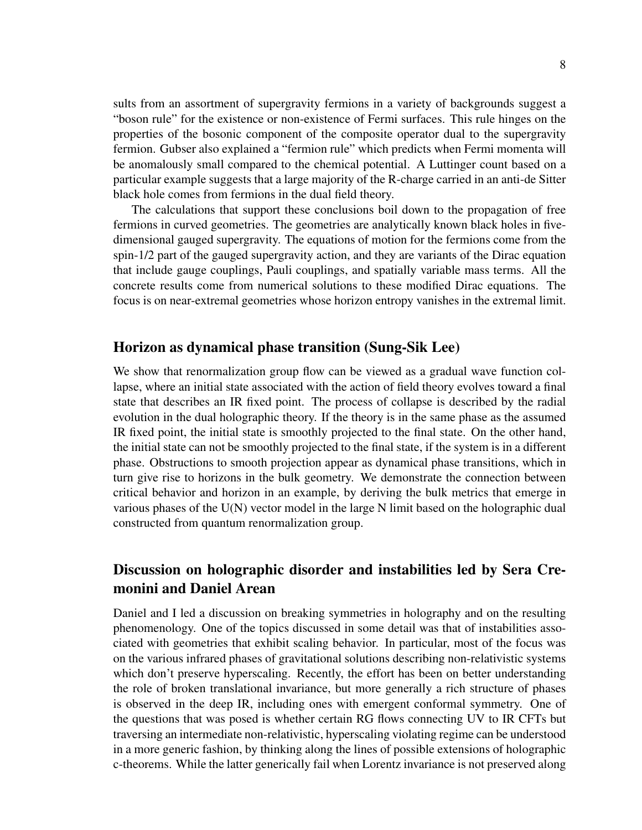sults from an assortment of supergravity fermions in a variety of backgrounds suggest a "boson rule" for the existence or non-existence of Fermi surfaces. This rule hinges on the properties of the bosonic component of the composite operator dual to the supergravity fermion. Gubser also explained a "fermion rule" which predicts when Fermi momenta will be anomalously small compared to the chemical potential. A Luttinger count based on a particular example suggests that a large majority of the R-charge carried in an anti-de Sitter black hole comes from fermions in the dual field theory.

The calculations that support these conclusions boil down to the propagation of free fermions in curved geometries. The geometries are analytically known black holes in fivedimensional gauged supergravity. The equations of motion for the fermions come from the spin-1/2 part of the gauged supergravity action, and they are variants of the Dirac equation that include gauge couplings, Pauli couplings, and spatially variable mass terms. All the concrete results come from numerical solutions to these modified Dirac equations. The focus is on near-extremal geometries whose horizon entropy vanishes in the extremal limit.

#### Horizon as dynamical phase transition (Sung-Sik Lee)

We show that renormalization group flow can be viewed as a gradual wave function collapse, where an initial state associated with the action of field theory evolves toward a final state that describes an IR fixed point. The process of collapse is described by the radial evolution in the dual holographic theory. If the theory is in the same phase as the assumed IR fixed point, the initial state is smoothly projected to the final state. On the other hand, the initial state can not be smoothly projected to the final state, if the system is in a different phase. Obstructions to smooth projection appear as dynamical phase transitions, which in turn give rise to horizons in the bulk geometry. We demonstrate the connection between critical behavior and horizon in an example, by deriving the bulk metrics that emerge in various phases of the U(N) vector model in the large N limit based on the holographic dual constructed from quantum renormalization group.

### Discussion on holographic disorder and instabilities led by Sera Cremonini and Daniel Arean

Daniel and I led a discussion on breaking symmetries in holography and on the resulting phenomenology. One of the topics discussed in some detail was that of instabilities associated with geometries that exhibit scaling behavior. In particular, most of the focus was on the various infrared phases of gravitational solutions describing non-relativistic systems which don't preserve hyperscaling. Recently, the effort has been on better understanding the role of broken translational invariance, but more generally a rich structure of phases is observed in the deep IR, including ones with emergent conformal symmetry. One of the questions that was posed is whether certain RG flows connecting UV to IR CFTs but traversing an intermediate non-relativistic, hyperscaling violating regime can be understood in a more generic fashion, by thinking along the lines of possible extensions of holographic c-theorems. While the latter generically fail when Lorentz invariance is not preserved along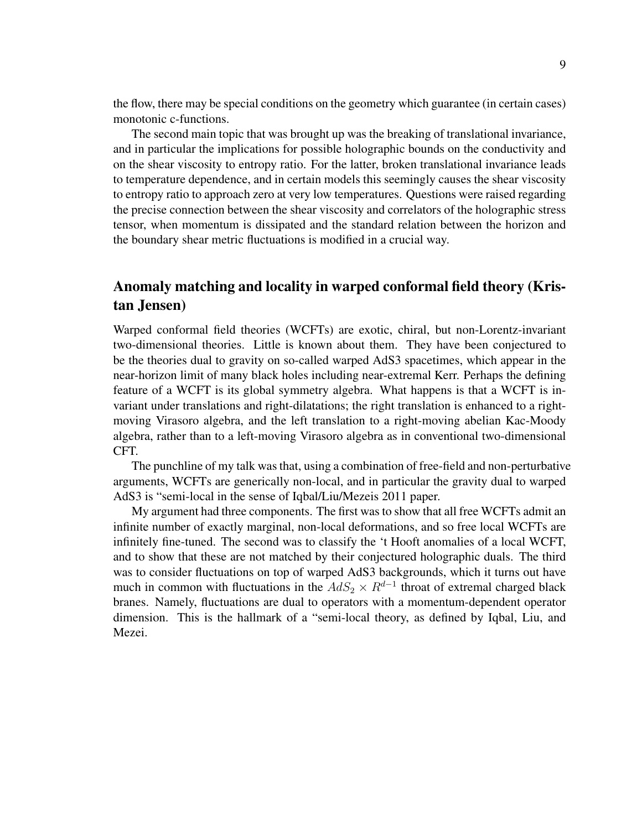the flow, there may be special conditions on the geometry which guarantee (in certain cases) monotonic c-functions.

The second main topic that was brought up was the breaking of translational invariance, and in particular the implications for possible holographic bounds on the conductivity and on the shear viscosity to entropy ratio. For the latter, broken translational invariance leads to temperature dependence, and in certain models this seemingly causes the shear viscosity to entropy ratio to approach zero at very low temperatures. Questions were raised regarding the precise connection between the shear viscosity and correlators of the holographic stress tensor, when momentum is dissipated and the standard relation between the horizon and the boundary shear metric fluctuations is modified in a crucial way.

### Anomaly matching and locality in warped conformal field theory (Kristan Jensen)

Warped conformal field theories (WCFTs) are exotic, chiral, but non-Lorentz-invariant two-dimensional theories. Little is known about them. They have been conjectured to be the theories dual to gravity on so-called warped AdS3 spacetimes, which appear in the near-horizon limit of many black holes including near-extremal Kerr. Perhaps the defining feature of a WCFT is its global symmetry algebra. What happens is that a WCFT is invariant under translations and right-dilatations; the right translation is enhanced to a rightmoving Virasoro algebra, and the left translation to a right-moving abelian Kac-Moody algebra, rather than to a left-moving Virasoro algebra as in conventional two-dimensional CFT.

The punchline of my talk was that, using a combination of free-field and non-perturbative arguments, WCFTs are generically non-local, and in particular the gravity dual to warped AdS3 is "semi-local in the sense of Iqbal/Liu/Mezeis 2011 paper.

My argument had three components. The first was to show that all free WCFTs admit an infinite number of exactly marginal, non-local deformations, and so free local WCFTs are infinitely fine-tuned. The second was to classify the 't Hooft anomalies of a local WCFT, and to show that these are not matched by their conjectured holographic duals. The third was to consider fluctuations on top of warped AdS3 backgrounds, which it turns out have much in common with fluctuations in the  $AdS_2 \times R^{d-1}$  throat of extremal charged black branes. Namely, fluctuations are dual to operators with a momentum-dependent operator dimension. This is the hallmark of a "semi-local theory, as defined by Iqbal, Liu, and Mezei.